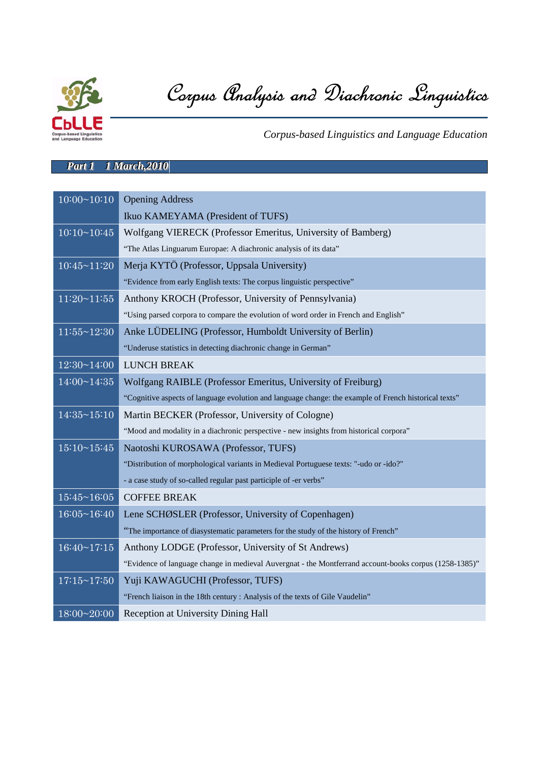

Corpus Analysis and Diachronic Linguistics

*Corpus-based Linguistics and Language Education*

## *Part 1 1 March,2010*

| $10:00 \sim 10:10$ | <b>Opening Address</b>                                                                                 |
|--------------------|--------------------------------------------------------------------------------------------------------|
|                    | Ikuo KAMEYAMA (President of TUFS)                                                                      |
| 10:10~10:45        | Wolfgang VIERECK (Professor Emeritus, University of Bamberg)                                           |
|                    | "The Atlas Linguarum Europae: A diachronic analysis of its data"                                       |
| $10:45 \sim 11:20$ | Merja KYTÖ (Professor, Uppsala University)                                                             |
|                    | "Evidence from early English texts: The corpus linguistic perspective"                                 |
| $11:20 \sim 11:55$ | Anthony KROCH (Professor, University of Pennsylvania)                                                  |
|                    | "Using parsed corpora to compare the evolution of word order in French and English"                    |
| $11:55 \sim 12:30$ | Anke LÜDELING (Professor, Humboldt University of Berlin)                                               |
|                    | "Underuse statistics in detecting diachronic change in German"                                         |
| $12:30 \sim 14:00$ | <b>LUNCH BREAK</b>                                                                                     |
| $14:00 \sim 14:35$ | Wolfgang RAIBLE (Professor Emeritus, University of Freiburg)                                           |
|                    | "Cognitive aspects of language evolution and language change: the example of French historical texts"  |
| $14:35 \sim 15:10$ | Martin BECKER (Professor, University of Cologne)                                                       |
|                    | "Mood and modality in a diachronic perspective - new insights from historical corpora"                 |
| $15:10 \sim 15:45$ | Naotoshi KUROSAWA (Professor, TUFS)                                                                    |
|                    | "Distribution of morphological variants in Medieval Portuguese texts: "-udo or -ido?"                  |
|                    | - a case study of so-called regular past participle of -er verbs"                                      |
| $15:45 \sim 16:05$ | <b>COFFEE BREAK</b>                                                                                    |
| $16:05 \sim 16:40$ | Lene SCHØSLER (Professor, University of Copenhagen)                                                    |
|                    | "The importance of diasystematic parameters for the study of the history of French"                    |
| $16:40 \sim 17:15$ | Anthony LODGE (Professor, University of St Andrews)                                                    |
|                    | "Evidence of language change in medieval Auvergnat - the Montferrand account-books corpus (1258-1385)" |
| $17:15 \sim 17:50$ | Yuji KAWAGUCHI (Professor, TUFS)                                                                       |
|                    | "French liaison in the 18th century : Analysis of the texts of Gile Vaudelin"                          |
| 18:00~20:00        | Reception at University Dining Hall                                                                    |